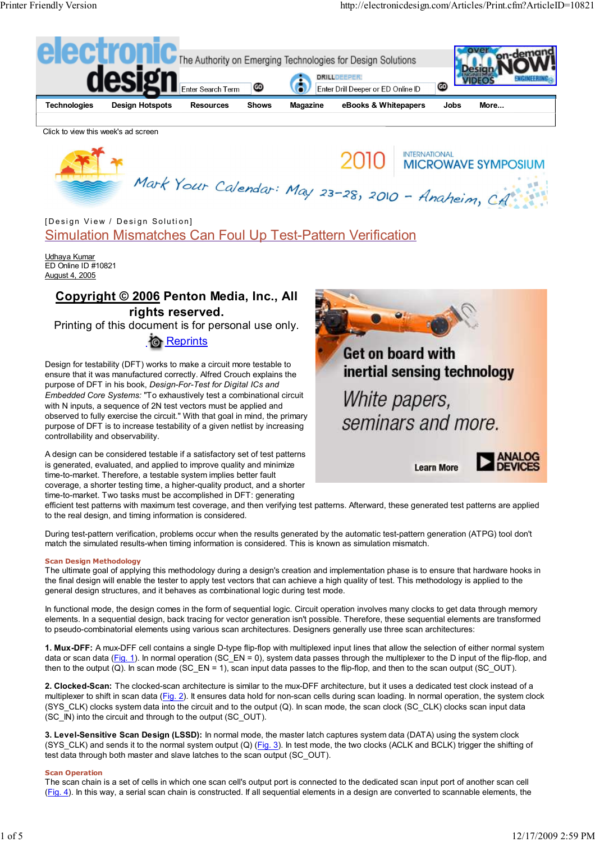

Udhaya Kumar ED Online ID #10821 August 4, 2005

# **Copyright © 2006 Penton Media, Inc., All rights reserved.**

Printing of this document is for personal use only.

*<b>C* Reprints

Design for testability (DFT) works to make a circuit more testable to ensure that it was manufactured correctly. Alfred Crouch explains the purpose of DFT in his book, *Design-For-Test for Digital ICs and Embedded Core Systems:* "To exhaustively test a combinational circuit with N inputs, a sequence of 2N test vectors must be applied and observed to fully exercise the circuit." With that goal in mind, the primary purpose of DFT is to increase testability of a given netlist by increasing controllability and observability.

A design can be considered testable if a satisfactory set of test patterns is generated, evaluated, and applied to improve quality and minimize time-to-market. Therefore, a testable system implies better fault coverage, a shorter testing time, a higher-quality product, and a shorter time-to-market. Two tasks must be accomplished in DFT: generating



**Learn More** 



efficient test patterns with maximum test coverage, and then verifying test patterns. Afterward, these generated test patterns are applied to the real design, and timing information is considered.

During test-pattern verification, problems occur when the results generated by the automatic test-pattern generation (ATPG) tool don't match the simulated results-when timing information is considered. This is known as simulation mismatch.

### **Scan Design Methodology**

The ultimate goal of applying this methodology during a design's creation and implementation phase is to ensure that hardware hooks in the final design will enable the tester to apply test vectors that can achieve a high quality of test. This methodology is applied to the general design structures, and it behaves as combinational logic during test mode.

In functional mode, the design comes in the form of sequential logic. Circuit operation involves many clocks to get data through memory elements. In a sequential design, back tracing for vector generation isn't possible. Therefore, these sequential elements are transformed to pseudo-combinatorial elements using various scan architectures. Designers generally use three scan architectures:

**1. Mux-DFF:** A mux-DFF cell contains a single D-type flip-flop with multiplexed input lines that allow the selection of either normal system data or scan data (Fig. 1). In normal operation (SC\_EN = 0), system data passes through the multiplexer to the D input of the flip-flop, and then to the output (Q). In scan mode (SC\_EN = 1), scan input data passes to the flip-flop, and then to the scan output (SC\_OUT).

**2. Clocked-Scan:** The clocked-scan architecture is similar to the mux-DFF architecture, but it uses a dedicated test clock instead of a multiplexer to shift in scan data (Fig. 2). It ensures data hold for non-scan cells during scan loading. In normal operation, the system clock (SYS\_CLK) clocks system data into the circuit and to the output (Q). In scan mode, the scan clock (SC\_CLK) clocks scan input data (SC\_IN) into the circuit and through to the output (SC\_OUT).

**3. Level-Sensitive Scan Design (LSSD):** In normal mode, the master latch captures system data (DATA) using the system clock (SYS\_CLK) and sends it to the normal system output (Q) (Fig. 3). In test mode, the two clocks (ACLK and BCLK) trigger the shifting of test data through both master and slave latches to the scan output (SC\_OUT).

### **Scan Operation**

The scan chain is a set of cells in which one scan cell's output port is connected to the dedicated scan input port of another scan cell (Fig. 4). In this way, a serial scan chain is constructed. If all sequential elements in a design are converted to scannable elements, the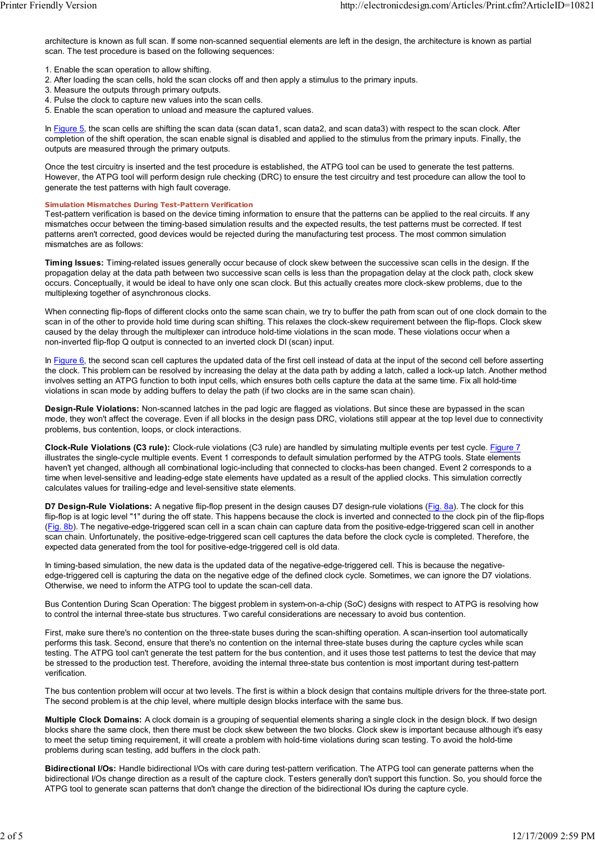architecture is known as full scan. If some non-scanned sequential elements are left in the design, the architecture is known as partial scan. The test procedure is based on the following sequences:

- 1. Enable the scan operation to allow shifting.
- 2. After loading the scan cells, hold the scan clocks off and then apply a stimulus to the primary inputs.
- 3. Measure the outputs through primary outputs. 4. Pulse the clock to capture new values into the scan cells.
- 5. Enable the scan operation to unload and measure the captured values.

In Figure 5, the scan cells are shifting the scan data (scan data1, scan data2, and scan data3) with respect to the scan clock. After completion of the shift operation, the scan enable signal is disabled and applied to the stimulus from the primary inputs. Finally, the outputs are measured through the primary outputs.

Once the test circuitry is inserted and the test procedure is established, the ATPG tool can be used to generate the test patterns. However, the ATPG tool will perform design rule checking (DRC) to ensure the test circuitry and test procedure can allow the tool to generate the test patterns with high fault coverage.

#### **Simulation Mismatches During Test-Pattern Verification**

Test-pattern verification is based on the device timing information to ensure that the patterns can be applied to the real circuits. If any mismatches occur between the timing-based simulation results and the expected results, the test patterns must be corrected. If test patterns aren't corrected, good devices would be rejected during the manufacturing test process. The most common simulation mismatches are as follows:

**Timing Issues:** Timing-related issues generally occur because of clock skew between the successive scan cells in the design. If the propagation delay at the data path between two successive scan cells is less than the propagation delay at the clock path, clock skew occurs. Conceptually, it would be ideal to have only one scan clock. But this actually creates more clock-skew problems, due to the multiplexing together of asynchronous clocks.

When connecting flip-flops of different clocks onto the same scan chain, we try to buffer the path from scan out of one clock domain to the scan in of the other to provide hold time during scan shifting. This relaxes the clock-skew requirement between the flip-flops. Clock skew caused by the delay through the multiplexer can introduce hold-time violations in the scan mode. These violations occur when a non-inverted flip-flop Q output is connected to an inverted clock DI (scan) input.

In Figure 6, the second scan cell captures the updated data of the first cell instead of data at the input of the second cell before asserting the clock. This problem can be resolved by increasing the delay at the data path by adding a latch, called a lock-up latch. Another method involves setting an ATPG function to both input cells, which ensures both cells capture the data at the same time. Fix all hold-time violations in scan mode by adding buffers to delay the path (if two clocks are in the same scan chain).

**Design-Rule Violations:** Non-scanned latches in the pad logic are flagged as violations. But since these are bypassed in the scan mode, they won't affect the coverage. Even if all blocks in the design pass DRC, violations still appear at the top level due to connectivity problems, bus contention, loops, or clock interactions.

**Clock-Rule Violations (C3 rule):** Clock-rule violations (C3 rule) are handled by simulating multiple events per test cycle. Figure 7 illustrates the single-cycle multiple events. Event 1 corresponds to default simulation performed by the ATPG tools. State elements haven't yet changed, although all combinational logic-including that connected to clocks-has been changed. Event 2 corresponds to a time when level-sensitive and leading-edge state elements have updated as a result of the applied clocks. This simulation correctly calculates values for trailing-edge and level-sensitive state elements.

**D7 Design-Rule Violations:** A negative flip-flop present in the design causes D7 design-rule violations (Fig. 8a). The clock for this flip-flop is at logic level "1" during the off state. This happens because the clock is inverted and connected to the clock pin of the flip-flops (Fig. 8b). The negative-edge-triggered scan cell in a scan chain can capture data from the positive-edge-triggered scan cell in another scan chain. Unfortunately, the positive-edge-triggered scan cell captures the data before the clock cycle is completed. Therefore, the expected data generated from the tool for positive-edge-triggered cell is old data.

In timing-based simulation, the new data is the updated data of the negative-edge-triggered cell. This is because the negativeedge-triggered cell is capturing the data on the negative edge of the defined clock cycle. Sometimes, we can ignore the D7 violations. Otherwise, we need to inform the ATPG tool to update the scan-cell data.

Bus Contention During Scan Operation: The biggest problem in system-on-a-chip (SoC) designs with respect to ATPG is resolving how to control the internal three-state bus structures. Two careful considerations are necessary to avoid bus contention.

First, make sure there's no contention on the three-state buses during the scan-shifting operation. A scan-insertion tool automatically performs this task. Second, ensure that there's no contention on the internal three-state buses during the capture cycles while scan testing. The ATPG tool can't generate the test pattern for the bus contention, and it uses those test patterns to test the device that may be stressed to the production test. Therefore, avoiding the internal three-state bus contention is most important during test-pattern verification.

The bus contention problem will occur at two levels. The first is within a block design that contains multiple drivers for the three-state port. The second problem is at the chip level, where multiple design blocks interface with the same bus.

**Multiple Clock Domains:** A clock domain is a grouping of sequential elements sharing a single clock in the design block. If two design blocks share the same clock, then there must be clock skew between the two blocks. Clock skew is important because although it's easy to meet the setup timing requirement, it will create a problem with hold-time violations during scan testing. To avoid the hold-time problems during scan testing, add buffers in the clock path.

**Bidirectional I/Os:** Handle bidirectional I/Os with care during test-pattern verification. The ATPG tool can generate patterns when the bidirectional I/Os change direction as a result of the capture clock. Testers generally don't support this function. So, you should force the ATPG tool to generate scan patterns that don't change the direction of the bidirectional IOs during the capture cycle.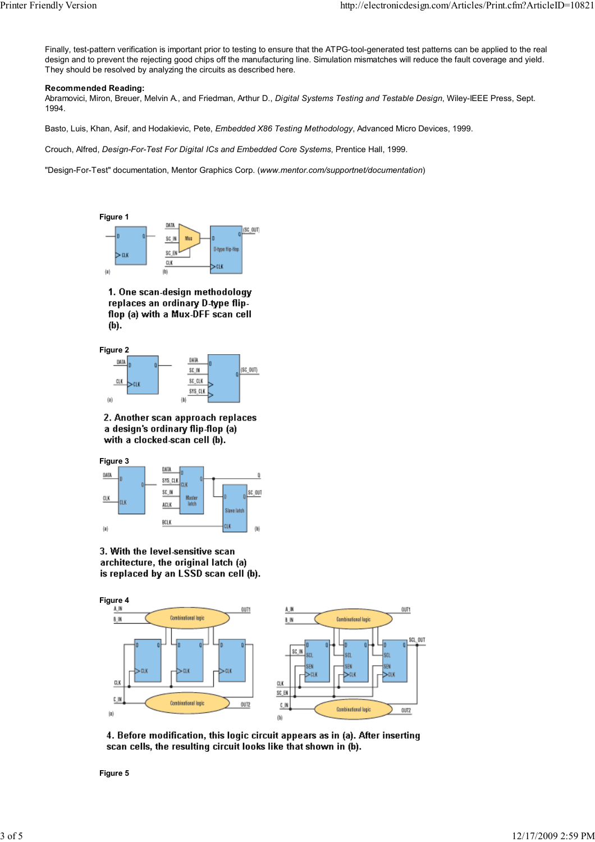Finally, test-pattern verification is important prior to testing to ensure that the ATPG-tool-generated test patterns can be applied to the real design and to prevent the rejecting good chips off the manufacturing line. Simulation mismatches will reduce the fault coverage and yield. They should be resolved by analyzing the circuits as described here.

## **Recommended Reading:**

Abramovici, Miron, Breuer, Melvin A., and Friedman, Arthur D., *Digital Systems Testing and Testable Design*, Wiley-IEEE Press, Sept. 1994.

Basto, Luis, Khan, Asif, and Hodakievic, Pete, *Embedded X86 Testing Methodology*, Advanced Micro Devices, 1999.

Crouch, Alfred, *Design-For-Test For Digital ICs and Embedded Core Systems*, Prentice Hall, 1999.

"Design-For-Test" documentation, Mentor Graphics Corp. (*www.mentor.com/supportnet/documentation*)



1. One scan-design methodology replaces an ordinary D-type flipflop (a) with a Mux-DFF scan cell  $(b)$ .

**Figure 2**



2. Another scan approach replaces a design's ordinary flip-flop (a) with a clocked-scan cell (b).



3. With the level-sensitive scan architecture, the original latch (a) is replaced by an LSSD scan cell (b).



4. Before modification, this logic circuit appears as in (a). After inserting scan cells, the resulting circuit looks like that shown in (b).

**Figure 5**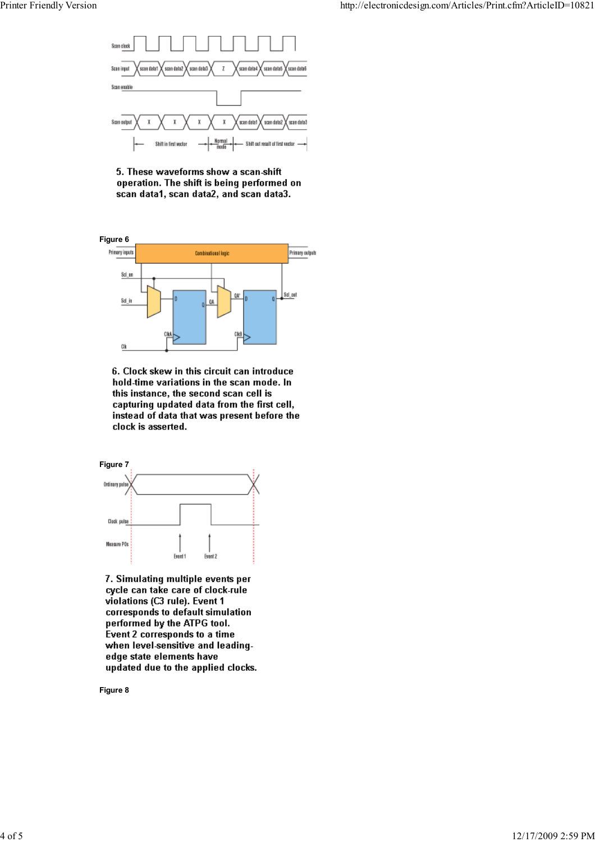

5. These waveforms show a scan-shift operation. The shift is being performed on scan data1, scan data2, and scan data3.



6. Clock skew in this circuit can introduce hold-time variations in the scan mode. In this instance, the second scan cell is capturing updated data from the first cell, instead of data that was present before the clock is asserted.



7. Simulating multiple events per cycle can take care of clock-rule violations (C3 rule). Event 1 corresponds to default simulation performed by the ATPG tool. Event 2 corresponds to a time when level-sensitive and leadingedge state elements have updated due to the applied clocks.

**Figure 8**